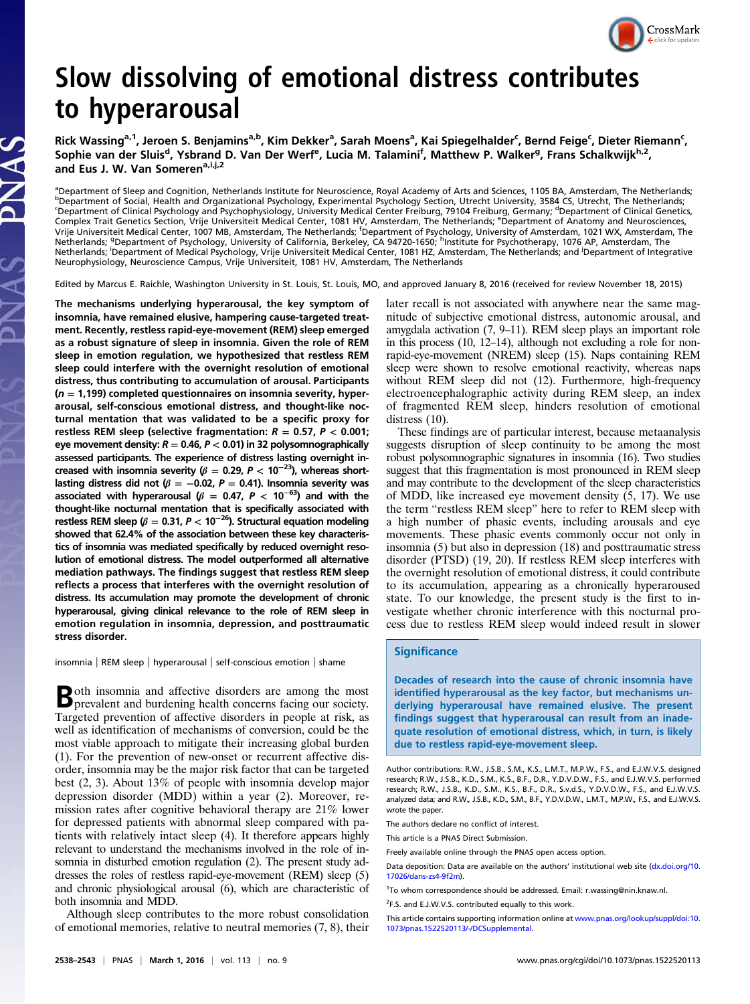

# Slow dissolving of emotional distress contributes to hyperarousal

Rick Wassing<sup>a,1</sup>, Jeroen S. Benjamins<sup>a,b</sup>, Kim Dekker<sup>a</sup>, Sarah Moens<sup>a</sup>, Kai Spiegelhalder<sup>c</sup>, Bernd Feige<sup>c</sup>, Dieter Riemann<sup>c</sup>, Sophie van der Sluis<sup>d</sup>, Ysbrand D. Van Der Werf<sup>e</sup>, Lucia M. Talamini<sup>f</sup>, Matthew P. Walker<sup>g</sup>, Frans Schalkwijk<sup>h,2</sup>, and Eus J. W. Van Someren<sup>a,i,j,2</sup>

<sup>a</sup> Department of Sleep and Cognition, Netherlands Institute for Neuroscience, Royal Academy of Arts and Sciences, 1105 BA, Amsterdam, The Netherlands;<br>PDepartment of Social Health and Organizational Psychology, Experiment <sup>b</sup>Department of Social, Health and Organizational Psychology, Experimental Psychology Section, Utrecht University, 3584 CS, Utrecht, The Netherlands;<br><sup>c</sup>Department of Clinical Psychology and Psychophysiology, University M Complex Trait Genetics Section, Vrije Universiteit Medical Center, 1081 HV, Amsterdam, The Netherlands; <sup>e</sup>Department of Anatomy and Neurosciences,<br>Vrije Universiteit Medical Center, 1007 MB, Amsterdam, The Netherlands; <sup>f</sup> Netherlands; <sup>g</sup>Department of Psychology, University of California, Berkeley, CA 94720-1650; <sup>h</sup>Institute for Psychotherapy, 1076 AP, Amsterdam, The Netherlands; <sup>i</sup>Department of Medical Psychology, Vrije Universiteit Medical Center, 1081 HZ, Amsterdam, The Netherlands; and <sup>i</sup>Department of Integrative Neurophysiology, Neuroscience Campus, Vrije Universiteit, 1081 HV, Amsterdam, The Netherlands

Edited by Marcus E. Raichle, Washington University in St. Louis, St. Louis, MO, and approved January 8, 2016 (received for review November 18, 2015)

The mechanisms underlying hyperarousal, the key symptom of insomnia, have remained elusive, hampering cause-targeted treatment. Recently, restless rapid-eye-movement (REM) sleep emerged as a robust signature of sleep in insomnia. Given the role of REM sleep in emotion regulation, we hypothesized that restless REM sleep could interfere with the overnight resolution of emotional distress, thus contributing to accumulation of arousal. Participants  $(n = 1,199)$  completed questionnaires on insomnia severity, hyperarousal, self-conscious emotional distress, and thought-like nocturnal mentation that was validated to be a specific proxy for restless REM sleep (selective fragmentation:  $R = 0.57$ ,  $P < 0.001$ ; eye movement density:  $R = 0.46$ ,  $P < 0.01$ ) in 32 polysomnographically assessed participants. The experience of distress lasting overnight increased with insomnia severity ( $\beta = 0.29$ ,  $P < 10^{-23}$ ), whereas shortlasting distress did not  $(\beta = -0.02, P = 0.41)$ . Insomnia severity was associated with hyperarousal ( $\beta = 0.47$ ,  $P < 10^{-63}$ ) and with the thought-like nocturnal mentation that is specifically associated with restless REM sleep ( $\beta = 0.31$ ,  $P < 10^{-26}$ ). Structural equation modeling showed that 62.4% of the association between these key characteristics of insomnia was mediated specifically by reduced overnight resolution of emotional distress. The model outperformed all alternative mediation pathways. The findings suggest that restless REM sleep reflects a process that interferes with the overnight resolution of distress. Its accumulation may promote the development of chronic hyperarousal, giving clinical relevance to the role of REM sleep in emotion regulation in insomnia, depression, and posttraumatic stress disorder.

insomnia | REM sleep | hyperarousal | self-conscious emotion | shame

Both insomnia and affective disorders are among the most prevalent and burdening health concerns facing our society. Targeted prevention of affective disorders in people at risk, as well as identification of mechanisms of conversion, could be the most viable approach to mitigate their increasing global burden (1). For the prevention of new-onset or recurrent affective disorder, insomnia may be the major risk factor that can be targeted best (2, 3). About 13% of people with insomnia develop major depression disorder (MDD) within a year (2). Moreover, remission rates after cognitive behavioral therapy are 21% lower for depressed patients with abnormal sleep compared with patients with relatively intact sleep (4). It therefore appears highly relevant to understand the mechanisms involved in the role of insomnia in disturbed emotion regulation (2). The present study addresses the roles of restless rapid-eye-movement (REM) sleep (5) and chronic physiological arousal (6), which are characteristic of both insomnia and MDD.

Although sleep contributes to the more robust consolidation of emotional memories, relative to neutral memories (7, 8), their later recall is not associated with anywhere near the same magnitude of subjective emotional distress, autonomic arousal, and amygdala activation (7, 9–11). REM sleep plays an important role in this process (10, 12–14), although not excluding a role for nonrapid-eye-movement (NREM) sleep (15). Naps containing REM sleep were shown to resolve emotional reactivity, whereas naps without REM sleep did not (12). Furthermore, high-frequency electroencephalographic activity during REM sleep, an index of fragmented REM sleep, hinders resolution of emotional distress (10).

These findings are of particular interest, because metaanalysis suggests disruption of sleep continuity to be among the most robust polysomnographic signatures in insomnia (16). Two studies suggest that this fragmentation is most pronounced in REM sleep and may contribute to the development of the sleep characteristics of MDD, like increased eye movement density (5, 17). We use the term "restless REM sleep" here to refer to REM sleep with a high number of phasic events, including arousals and eye movements. These phasic events commonly occur not only in insomnia (5) but also in depression (18) and posttraumatic stress disorder (PTSD) (19, 20). If restless REM sleep interferes with the overnight resolution of emotional distress, it could contribute to its accumulation, appearing as a chronically hyperaroused state. To our knowledge, the present study is the first to investigate whether chronic interference with this nocturnal process due to restless REM sleep would indeed result in slower

## **Significance**

Decades of research into the cause of chronic insomnia have identified hyperarousal as the key factor, but mechanisms underlying hyperarousal have remained elusive. The present findings suggest that hyperarousal can result from an inadequate resolution of emotional distress, which, in turn, is likely due to restless rapid-eye-movement sleep.

Author contributions: R.W., J.S.B., S.M., K.S., L.M.T., M.P.W., F.S., and E.J.W.V.S. designed research; R.W., J.S.B., K.D., S.M., K.S., B.F., D.R., Y.D.V.D.W., F.S., and E.J.W.V.S. performed research; R.W., J.S.B., K.D., S.M., K.S., B.F., D.R., S.v.d.S., Y.D.V.D.W., F.S., and E.J.W.V.S. analyzed data; and R.W., J.S.B., K.D., S.M., B.F., Y.D.V.D.W., L.M.T., M.P.W., F.S., and E.J.W.V.S. wrote the paper.

The authors declare no conflict of interest.

This article is a PNAS Direct Submission.

Freely available online through the PNAS open access option.

Data deposition: Data are available on the authors' institutional web site [\(dx.doi.org/10.](http://dx.doi.org/10.17026/dans-zs4-9f2m) [17026/dans-zs4-9f2m\)](http://dx.doi.org/10.17026/dans-zs4-9f2m).

<sup>1</sup>To whom correspondence should be addressed. Email: [r.wassing@nin.knaw.nl](mailto:r.wassing@nin.knaw.nl).

<sup>2</sup>F.S. and E.J.W.V.S. contributed equally to this work.

This article contains supporting information online at [www.pnas.org/lookup/suppl/doi:10.](http://www.pnas.org/lookup/suppl/doi:10.1073/pnas.1522520113/-/DCSupplemental) [1073/pnas.1522520113/-/DCSupplemental.](http://www.pnas.org/lookup/suppl/doi:10.1073/pnas.1522520113/-/DCSupplemental)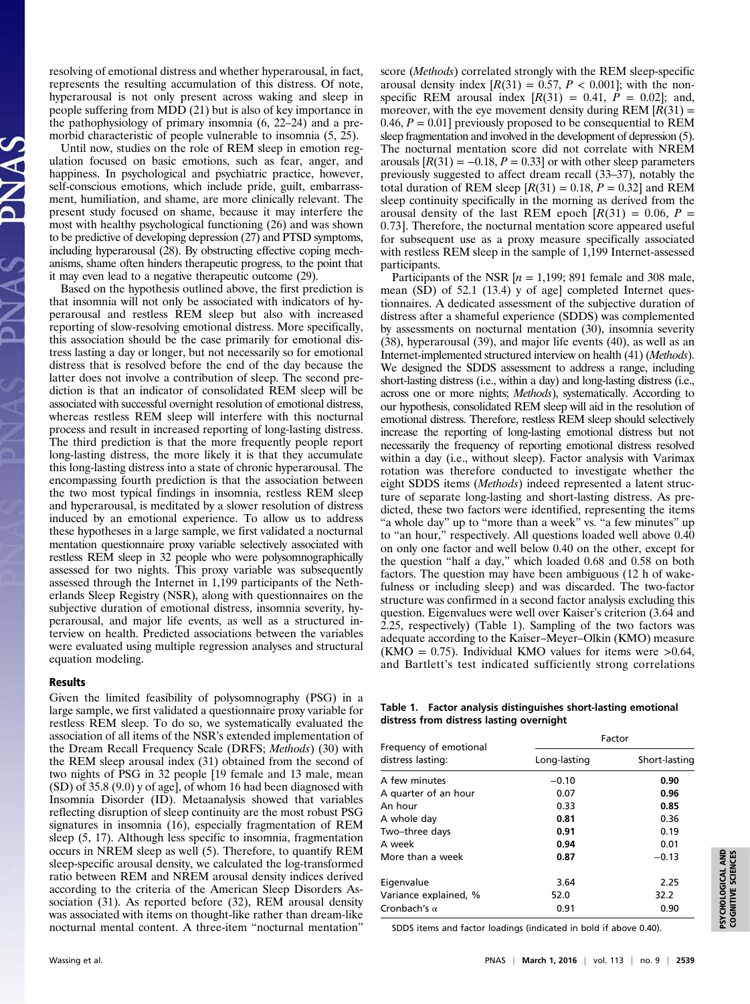resolving of emotional distress and whether hyperarousal, in fact, represents the resulting accumulation of this distress. Of note, hyperarousal is not only present across waking and sleep in people suffering from MDD (21) but is also of key importance in the pathophysiology of primary insomnia (6, 22–24) and a premorbid characteristic of people vulnerable to insomnia (5, 25).

Until now, studies on the role of REM sleep in emotion regulation focused on basic emotions, such as fear, anger, and happiness. In psychological and psychiatric practice, however, self-conscious emotions, which include pride, guilt, embarrassment, humiliation, and shame, are more clinically relevant. The present study focused on shame, because it may interfere the most with healthy psychological functioning (26) and was shown to be predictive of developing depression (27) and PTSD symptoms, including hyperarousal (28). By obstructing effective coping mechanisms, shame often hinders therapeutic progress, to the point that it may even lead to a negative therapeutic outcome (29).

Based on the hypothesis outlined above, the first prediction is that insomnia will not only be associated with indicators of hyperarousal and restless REM sleep but also with increased reporting of slow-resolving emotional distress. More specifically, this association should be the case primarily for emotional distress lasting a day or longer, but not necessarily so for emotional distress that is resolved before the end of the day because the latter does not involve a contribution of sleep. The second prediction is that an indicator of consolidated REM sleep will be associated with successful overnight resolution of emotional distress, whereas restless REM sleep will interfere with this nocturnal process and result in increased reporting of long-lasting distress. The third prediction is that the more frequently people report long-lasting distress, the more likely it is that they accumulate this long-lasting distress into a state of chronic hyperarousal. The encompassing fourth prediction is that the association between the two most typical findings in insomnia, restless REM sleep and hyperarousal, is meditated by a slower resolution of distress induced by an emotional experience. To allow us to address these hypotheses in a large sample, we first validated a nocturnal mentation questionnaire proxy variable selectively associated with restless REM sleep in 32 people who were polysomnographically assessed for two nights. This proxy variable was subsequently assessed through the Internet in 1,199 participants of the Netherlands Sleep Registry (NSR), along with questionnaires on the subjective duration of emotional distress, insomnia severity, hyperarousal, and major life events, as well as a structured interview on health. Predicted associations between the variables were evaluated using multiple regression analyses and structural equation modeling.

## Results

Given the limited feasibility of polysomnography (PSG) in a large sample, we first validated a questionnaire proxy variable for restless REM sleep. To do so, we systematically evaluated the association of all items of the NSR's extended implementation of the Dream Recall Frequency Scale (DRFS; Methods) (30) with the REM sleep arousal index (31) obtained from the second of two nights of PSG in 32 people [19 female and 13 male, mean (SD) of 35.8 (9.0) y of age], of whom 16 had been diagnosed with Insomnia Disorder (ID). Metaanalysis showed that variables reflecting disruption of sleep continuity are the most robust PSG signatures in insomnia (16), especially fragmentation of REM sleep (5, 17). Although less specific to insomnia, fragmentation occurs in NREM sleep as well (5). Therefore, to quantify REM sleep-specific arousal density, we calculated the log-transformed ratio between REM and NREM arousal density indices derived according to the criteria of the American Sleep Disorders Association (31). As reported before (32), REM arousal density was associated with items on thought-like rather than dream-like nocturnal mental content. A three-item "nocturnal mentation"

score (Methods) correlated strongly with the REM sleep-specific arousal density index  $[R(31) = 0.57, P < 0.001]$ ; with the nonspecific REM arousal index  $[R(31) = 0.41, P = 0.02]$ ; and, moreover, with the eye movement density during REM  $[R(31) =$ 0.46,  $P = 0.01$  previously proposed to be consequential to REM sleep fragmentation and involved in the development of depression (5). The nocturnal mentation score did not correlate with NREM arousals  $[R(31) = -0.18, P = 0.33]$  or with other sleep parameters previously suggested to affect dream recall (33–37), notably the total duration of REM sleep  $[R(31) = 0.18, P = 0.32]$  and REM sleep continuity specifically in the morning as derived from the arousal density of the last REM epoch  $R(31) = 0.06$ ,  $P =$ 0.73]. Therefore, the nocturnal mentation score appeared useful for subsequent use as a proxy measure specifically associated with restless REM sleep in the sample of 1,199 Internet-assessed participants.

Participants of the NSR  $[n = 1,199; 891$  female and 308 male, mean (SD) of 52.1 (13.4) y of age] completed Internet questionnaires. A dedicated assessment of the subjective duration of distress after a shameful experience (SDDS) was complemented by assessments on nocturnal mentation (30), insomnia severity (38), hyperarousal (39), and major life events (40), as well as an Internet-implemented structured interview on health (41) (Methods). We designed the SDDS assessment to address a range, including short-lasting distress (i.e., within a day) and long-lasting distress (i.e., across one or more nights; Methods), systematically. According to our hypothesis, consolidated REM sleep will aid in the resolution of emotional distress. Therefore, restless REM sleep should selectively increase the reporting of long-lasting emotional distress but not necessarily the frequency of reporting emotional distress resolved within a day (*i.e.*, without sleep). Factor analysis with Varimax rotation was therefore conducted to investigate whether the eight SDDS items (Methods) indeed represented a latent structure of separate long-lasting and short-lasting distress. As predicted, these two factors were identified, representing the items "a whole day" up to "more than a week" vs. "a few minutes" up to "an hour," respectively. All questions loaded well above 0.40 on only one factor and well below 0.40 on the other, except for the question "half a day," which loaded 0.68 and 0.58 on both factors. The question may have been ambiguous (12 h of wakefulness or including sleep) and was discarded. The two-factor structure was confirmed in a second factor analysis excluding this question. Eigenvalues were well over Kaiser's criterion (3.64 and 2.25, respectively) (Table 1). Sampling of the two factors was adequate according to the Kaiser–Meyer–Olkin (KMO) measure (KMO = 0.75). Individual KMO values for items were  $>0.64$ , and Bartlett's test indicated sufficiently strong correlations

# Table 1. Factor analysis distinguishes short-lasting emotional distress from distress lasting overnight

| Frequency of emotional<br>distress lasting: | Factor       |               |
|---------------------------------------------|--------------|---------------|
|                                             | Long-lasting | Short-lasting |
| A few minutes                               | $-0.10$      | 0.90          |
| A quarter of an hour                        | 0.07         | 0.96          |
| An hour                                     | 0.33         | 0.85          |
| A whole day                                 | 0.81         | 0.36          |
| Two-three days                              | 0.91         | 0.19          |
| A week                                      | 0.94         | 0.01          |
| More than a week                            | 0.87         | $-0.13$       |
| Eigenvalue                                  | 3.64         | 2.25          |
| Variance explained, %                       | 52.0         | 32.2          |
| Cronbach's $\alpha$                         | 0.91         | 0.90          |

SDDS items and factor loadings (indicated in bold if above 0.40).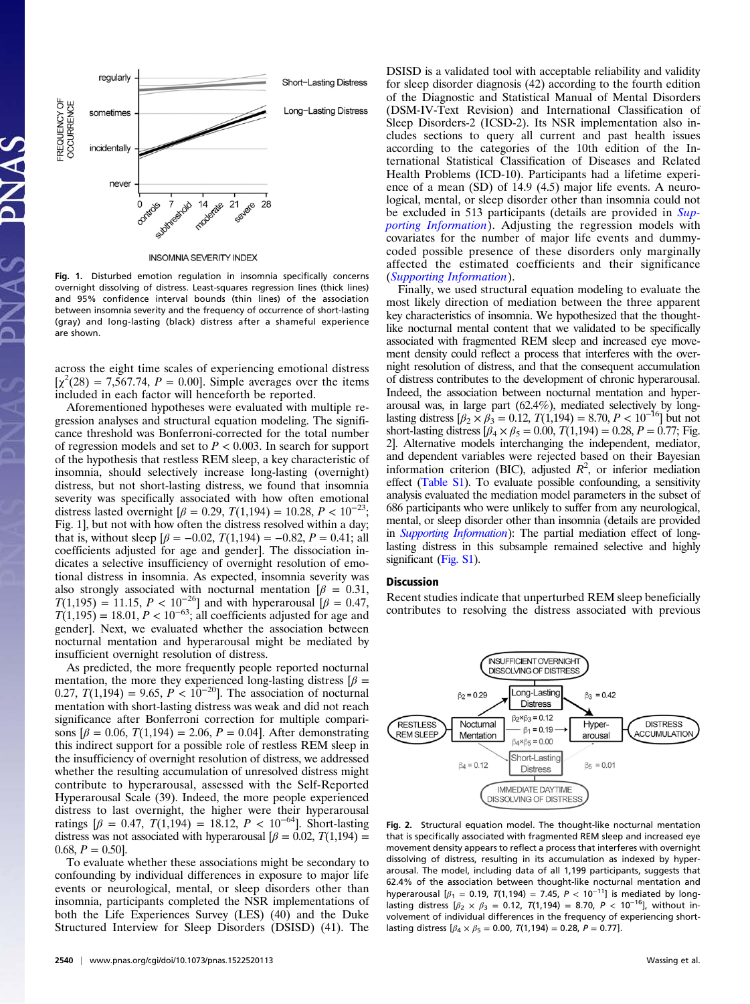

**INSOMNIA SEVERITY INDEX** 

Fig. 1. Disturbed emotion regulation in insomnia specifically concerns overnight dissolving of distress. Least-squares regression lines (thick lines) and 95% confidence interval bounds (thin lines) of the association between insomnia severity and the frequency of occurrence of short-lasting (gray) and long-lasting (black) distress after a shameful experience are shown.

across the eight time scales of experiencing emotional distress  $[\chi^2(28) = 7,567.74, P = 0.00]$ . Simple averages over the items included in each factor will henceforth be reported.

Aforementioned hypotheses were evaluated with multiple regression analyses and structural equation modeling. The significance threshold was Bonferroni-corrected for the total number of regression models and set to  $P < 0.003$ . In search for support of the hypothesis that restless REM sleep, a key characteristic of insomnia, should selectively increase long-lasting (overnight) distress, but not short-lasting distress, we found that insomnia severity was specifically associated with how often emotional distress lasted overnight  $\beta = 0.29, T(1,194) = 10.28, P < 10^{-23}$ ; Fig. 1], but not with how often the distress resolved within a day; that is, without sleep  $\lbrack \beta = -0.02, T(1,194) = -0.82, P = 0.41$ ; all coefficients adjusted for age and gender]. The dissociation indicates a selective insufficiency of overnight resolution of emotional distress in insomnia. As expected, insomnia severity was also strongly associated with nocturnal mentation  $\beta = 0.31$ ,  $T(1,195) = 11.15, P < 10^{-26}$ ] and with hyperarousal  $\beta = 0.47$ ,  $T(1,195) = 18.01, P < 10^{-63}$ ; all coefficients adjusted for age and gender]. Next, we evaluated whether the association between nocturnal mentation and hyperarousal might be mediated by insufficient overnight resolution of distress.

As predicted, the more frequently people reported nocturnal mentation, the more they experienced long-lasting distress  $\beta$  = 0.27,  $T(1,194) = 9.65$ ,  $P < 10^{-20}$ . The association of nocturnal mentation with short-lasting distress was weak and did not reach significance after Bonferroni correction for multiple comparisons  $[\beta = 0.06, T(1,194) = 2.06, P = 0.04]$ . After demonstrating this indirect support for a possible role of restless REM sleep in the insufficiency of overnight resolution of distress, we addressed whether the resulting accumulation of unresolved distress might contribute to hyperarousal, assessed with the Self-Reported Hyperarousal Scale (39). Indeed, the more people experienced distress to last overnight, the higher were their hyperarousal ratings  $[\beta = 0.47, T(1,194) = 18.12, P < 10^{-64}]$ . Short-lasting distress was not associated with hyperarousal  $\beta = 0.02, T(1,194) =$  $0.68, P = 0.50$ .

To evaluate whether these associations might be secondary to confounding by individual differences in exposure to major life events or neurological, mental, or sleep disorders other than insomnia, participants completed the NSR implementations of both the Life Experiences Survey (LES) (40) and the Duke Structured Interview for Sleep Disorders (DSISD) (41). The

DSISD is a validated tool with acceptable reliability and validity for sleep disorder diagnosis (42) according to the fourth edition of the Diagnostic and Statistical Manual of Mental Disorders (DSM-IV-Text Revision) and International Classification of Sleep Disorders-2 (ICSD-2). Its NSR implementation also includes sections to query all current and past health issues according to the categories of the 10th edition of the International Statistical Classification of Diseases and Related Health Problems (ICD-10). Participants had a lifetime experience of a mean (SD) of 14.9 (4.5) major life events. A neurological, mental, or sleep disorder other than insomnia could not be excluded in 513 participants (details are provided in  $\frac{Sup}{\sqrt{Sup}}$ [porting Information](http://www.pnas.org/lookup/suppl/doi:10.1073/pnas.1522520113/-/DCSupplemental/pnas.201522520SI.pdf?targetid=nameddest=STXT)). Adjusting the regression models with covariates for the number of major life events and dummycoded possible presence of these disorders only marginally affected the estimated coefficients and their significance ([Supporting Information](http://www.pnas.org/lookup/suppl/doi:10.1073/pnas.1522520113/-/DCSupplemental/pnas.201522520SI.pdf?targetid=nameddest=STXT)).

Finally, we used structural equation modeling to evaluate the most likely direction of mediation between the three apparent key characteristics of insomnia. We hypothesized that the thoughtlike nocturnal mental content that we validated to be specifically associated with fragmented REM sleep and increased eye movement density could reflect a process that interferes with the overnight resolution of distress, and that the consequent accumulation of distress contributes to the development of chronic hyperarousal. Indeed, the association between nocturnal mentation and hyperarousal was, in large part (62.4%), mediated selectively by longlasting distress  $\left[\beta_2 \times \beta_3 = 0.12, T(1,194) = 8.70, P < 10^{-16}\right]$  but not short-lasting distress  $[\beta_4 \times \beta_5 = 0.00, T(1,194) = 0.28, P = 0.77;$  Fig. 2]. Alternative models interchanging the independent, mediator, and dependent variables were rejected based on their Bayesian information criterion (BIC), adjusted  $R^2$ , or inferior mediation effect ([Table S1](http://www.pnas.org/lookup/suppl/doi:10.1073/pnas.1522520113/-/DCSupplemental/pnas.201522520SI.pdf?targetid=nameddest=ST1)). To evaluate possible confounding, a sensitivity analysis evaluated the mediation model parameters in the subset of 686 participants who were unlikely to suffer from any neurological, mental, or sleep disorder other than insomnia (details are provided in *[Supporting Information](http://www.pnas.org/lookup/suppl/doi:10.1073/pnas.1522520113/-/DCSupplemental/pnas.201522520SI.pdf?targetid=nameddest=STXT)*): The partial mediation effect of longlasting distress in this subsample remained selective and highly significant [\(Fig. S1\)](http://www.pnas.org/lookup/suppl/doi:10.1073/pnas.1522520113/-/DCSupplemental/pnas.201522520SI.pdf?targetid=nameddest=SF1).

## **Discussion**

Recent studies indicate that unperturbed REM sleep beneficially contributes to resolving the distress associated with previous



Fig. 2. Structural equation model. The thought-like nocturnal mentation that is specifically associated with fragmented REM sleep and increased eye movement density appears to reflect a process that interferes with overnight dissolving of distress, resulting in its accumulation as indexed by hyperarousal. The model, including data of all 1,199 participants, suggests that 62.4% of the association between thought-like nocturnal mentation and hyperarousal  $[\beta_1 = 0.19, T(1,194) = 7.45, P < 10^{-11}]$  is mediated by longlasting distress  $[\beta_2 \times \beta_3 = 0.12, T(1,194) = 8.70, P < 10^{-16}]$ , without involvement of individual differences in the frequency of experiencing shortlasting distress  $[\beta_4 \times \beta_5 = 0.00, T(1,194) = 0.28, P = 0.77]$ .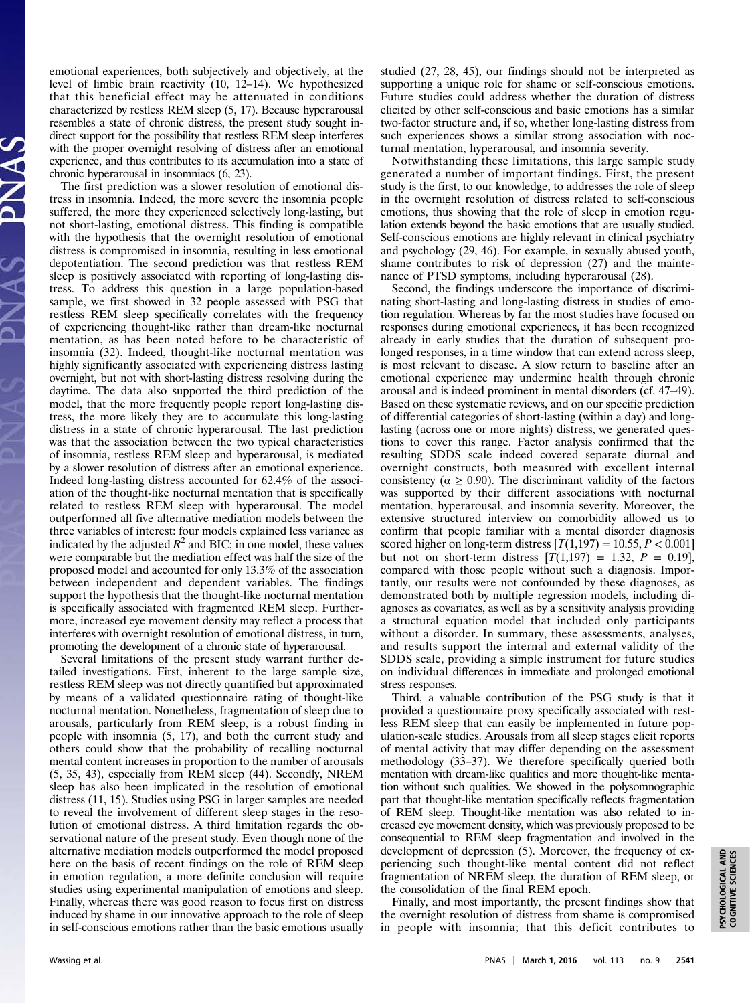emotional experiences, both subjectively and objectively, at the level of limbic brain reactivity (10, 12–14). We hypothesized that this beneficial effect may be attenuated in conditions characterized by restless REM sleep (5, 17). Because hyperarousal resembles a state of chronic distress, the present study sought indirect support for the possibility that restless REM sleep interferes with the proper overnight resolving of distress after an emotional experience, and thus contributes to its accumulation into a state of chronic hyperarousal in insomniacs (6, 23).

The first prediction was a slower resolution of emotional distress in insomnia. Indeed, the more severe the insomnia people suffered, the more they experienced selectively long-lasting, but not short-lasting, emotional distress. This finding is compatible with the hypothesis that the overnight resolution of emotional distress is compromised in insomnia, resulting in less emotional depotentiation. The second prediction was that restless REM sleep is positively associated with reporting of long-lasting distress. To address this question in a large population-based sample, we first showed in 32 people assessed with PSG that restless REM sleep specifically correlates with the frequency of experiencing thought-like rather than dream-like nocturnal mentation, as has been noted before to be characteristic of insomnia (32). Indeed, thought-like nocturnal mentation was highly significantly associated with experiencing distress lasting overnight, but not with short-lasting distress resolving during the daytime. The data also supported the third prediction of the model, that the more frequently people report long-lasting distress, the more likely they are to accumulate this long-lasting distress in a state of chronic hyperarousal. The last prediction was that the association between the two typical characteristics of insomnia, restless REM sleep and hyperarousal, is mediated by a slower resolution of distress after an emotional experience. Indeed long-lasting distress accounted for 62.4% of the association of the thought-like nocturnal mentation that is specifically related to restless REM sleep with hyperarousal. The model outperformed all five alternative mediation models between the three variables of interest: four models explained less variance as indicated by the adjusted  $R^2$  and BIC; in one model, these values were comparable but the mediation effect was half the size of the proposed model and accounted for only 13.3% of the association between independent and dependent variables. The findings support the hypothesis that the thought-like nocturnal mentation is specifically associated with fragmented REM sleep. Furthermore, increased eye movement density may reflect a process that interferes with overnight resolution of emotional distress, in turn, promoting the development of a chronic state of hyperarousal.

Several limitations of the present study warrant further detailed investigations. First, inherent to the large sample size, restless REM sleep was not directly quantified but approximated by means of a validated questionnaire rating of thought-like nocturnal mentation. Nonetheless, fragmentation of sleep due to arousals, particularly from REM sleep, is a robust finding in people with insomnia (5, 17), and both the current study and others could show that the probability of recalling nocturnal mental content increases in proportion to the number of arousals (5, 35, 43), especially from REM sleep (44). Secondly, NREM sleep has also been implicated in the resolution of emotional distress (11, 15). Studies using PSG in larger samples are needed to reveal the involvement of different sleep stages in the resolution of emotional distress. A third limitation regards the observational nature of the present study. Even though none of the alternative mediation models outperformed the model proposed here on the basis of recent findings on the role of REM sleep in emotion regulation, a more definite conclusion will require studies using experimental manipulation of emotions and sleep. Finally, whereas there was good reason to focus first on distress induced by shame in our innovative approach to the role of sleep in self-conscious emotions rather than the basic emotions usually studied (27, 28, 45), our findings should not be interpreted as supporting a unique role for shame or self-conscious emotions. Future studies could address whether the duration of distress elicited by other self-conscious and basic emotions has a similar two-factor structure and, if so, whether long-lasting distress from such experiences shows a similar strong association with nocturnal mentation, hyperarousal, and insomnia severity.

Notwithstanding these limitations, this large sample study generated a number of important findings. First, the present study is the first, to our knowledge, to addresses the role of sleep in the overnight resolution of distress related to self-conscious emotions, thus showing that the role of sleep in emotion regulation extends beyond the basic emotions that are usually studied. Self-conscious emotions are highly relevant in clinical psychiatry and psychology (29, 46). For example, in sexually abused youth, shame contributes to risk of depression (27) and the maintenance of PTSD symptoms, including hyperarousal (28).

Second, the findings underscore the importance of discriminating short-lasting and long-lasting distress in studies of emotion regulation. Whereas by far the most studies have focused on responses during emotional experiences, it has been recognized already in early studies that the duration of subsequent prolonged responses, in a time window that can extend across sleep, is most relevant to disease. A slow return to baseline after an emotional experience may undermine health through chronic arousal and is indeed prominent in mental disorders (cf. 47–49). Based on these systematic reviews, and on our specific prediction of differential categories of short-lasting (within a day) and longlasting (across one or more nights) distress, we generated questions to cover this range. Factor analysis confirmed that the resulting SDDS scale indeed covered separate diurnal and overnight constructs, both measured with excellent internal consistency ( $\alpha \geq 0.90$ ). The discriminant validity of the factors was supported by their different associations with nocturnal mentation, hyperarousal, and insomnia severity. Moreover, the extensive structured interview on comorbidity allowed us to confirm that people familiar with a mental disorder diagnosis scored higher on long-term distress  $[T(1,197) = 10.55, P < 0.001]$ but not on short-term distress  $[T(1,197) = 1.32, P = 0.19]$ , compared with those people without such a diagnosis. Importantly, our results were not confounded by these diagnoses, as demonstrated both by multiple regression models, including diagnoses as covariates, as well as by a sensitivity analysis providing a structural equation model that included only participants without a disorder. In summary, these assessments, analyses, and results support the internal and external validity of the SDDS scale, providing a simple instrument for future studies on individual differences in immediate and prolonged emotional stress responses.

Third, a valuable contribution of the PSG study is that it provided a questionnaire proxy specifically associated with restless REM sleep that can easily be implemented in future population-scale studies. Arousals from all sleep stages elicit reports of mental activity that may differ depending on the assessment methodology (33–37). We therefore specifically queried both mentation with dream-like qualities and more thought-like mentation without such qualities. We showed in the polysomnographic part that thought-like mentation specifically reflects fragmentation of REM sleep. Thought-like mentation was also related to increased eye movement density, which was previously proposed to be consequential to REM sleep fragmentation and involved in the development of depression (5). Moreover, the frequency of experiencing such thought-like mental content did not reflect fragmentation of NREM sleep, the duration of REM sleep, or the consolidation of the final REM epoch.

Finally, and most importantly, the present findings show that the overnight resolution of distress from shame is compromised in people with insomnia; that this deficit contributes to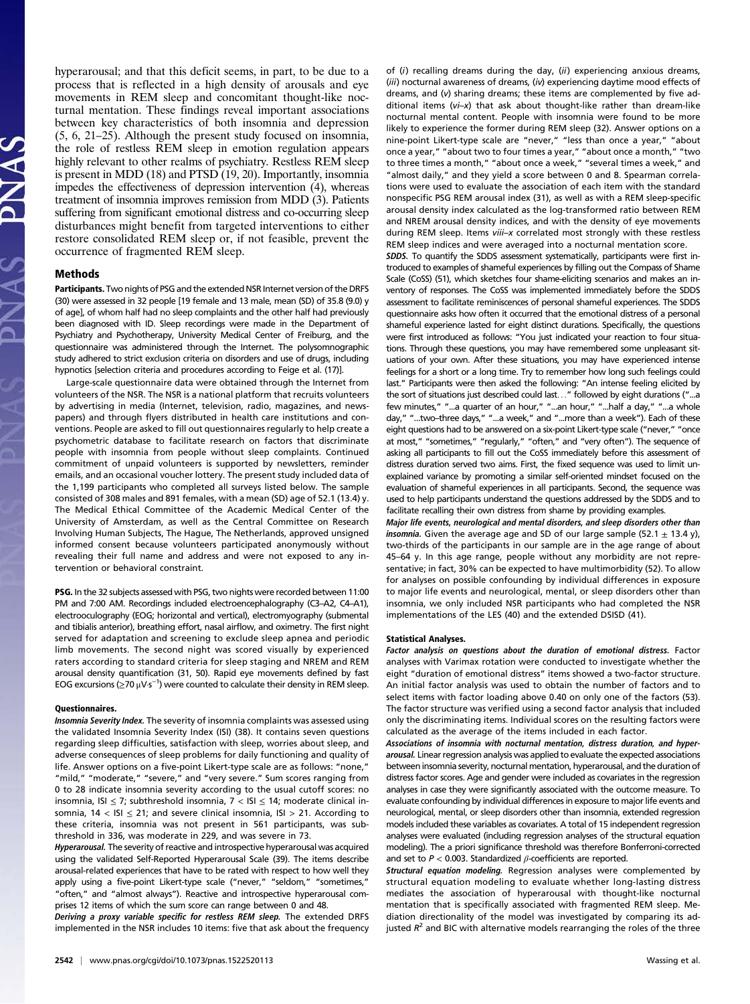hyperarousal; and that this deficit seems, in part, to be due to a process that is reflected in a high density of arousals and eye movements in REM sleep and concomitant thought-like nocturnal mentation. These findings reveal important associations between key characteristics of both insomnia and depression (5, 6, 21–25). Although the present study focused on insomnia, the role of restless REM sleep in emotion regulation appears highly relevant to other realms of psychiatry. Restless REM sleep is present in MDD (18) and PTSD (19, 20). Importantly, insomnia impedes the effectiveness of depression intervention (4), whereas treatment of insomnia improves remission from MDD (3). Patients suffering from significant emotional distress and co-occurring sleep disturbances might benefit from targeted interventions to either restore consolidated REM sleep or, if not feasible, prevent the occurrence of fragmented REM sleep.

## Methods

Participants. Two nights of PSG and the extended NSR Internet version of the DRFS (30) were assessed in 32 people [19 female and 13 male, mean (SD) of 35.8 (9.0) y of age], of whom half had no sleep complaints and the other half had previously been diagnosed with ID. Sleep recordings were made in the Department of Psychiatry and Psychotherapy, University Medical Center of Freiburg, and the questionnaire was administered through the Internet. The polysomnographic study adhered to strict exclusion criteria on disorders and use of drugs, including hypnotics [selection criteria and procedures according to Feige et al. (17)].

Large-scale questionnaire data were obtained through the Internet from volunteers of the NSR. The NSR is a national platform that recruits volunteers by advertising in media (Internet, television, radio, magazines, and newspapers) and through flyers distributed in health care institutions and conventions. People are asked to fill out questionnaires regularly to help create a psychometric database to facilitate research on factors that discriminate people with insomnia from people without sleep complaints. Continued commitment of unpaid volunteers is supported by newsletters, reminder emails, and an occasional voucher lottery. The present study included data of the 1,199 participants who completed all surveys listed below. The sample consisted of 308 males and 891 females, with a mean (SD) age of 52.1 (13.4) y. The Medical Ethical Committee of the Academic Medical Center of the University of Amsterdam, as well as the Central Committee on Research Involving Human Subjects, The Hague, The Netherlands, approved unsigned informed consent because volunteers participated anonymously without revealing their full name and address and were not exposed to any intervention or behavioral constraint.

PSG. In the 32 subjects assessed with PSG, two nights were recorded between 11:00 PM and 7:00 AM. Recordings included electroencephalography (C3–A2, C4–A1), electrooculography (EOG; horizontal and vertical), electromyography (submental and tibialis anterior), breathing effort, nasal airflow, and oximetry. The first night served for adaptation and screening to exclude sleep apnea and periodic limb movements. The second night was scored visually by experienced raters according to standard criteria for sleep staging and NREM and REM arousal density quantification (31, 50). Rapid eye movements defined by fast EOG excursions ( $\geq$ 70  $\mu$ V·s $^{-1}$ ) were counted to calculate their density in REM sleep.

#### Questionnaires.

Insomnia Severity Index. The severity of insomnia complaints was assessed using the validated Insomnia Severity Index (ISI) (38). It contains seven questions regarding sleep difficulties, satisfaction with sleep, worries about sleep, and adverse consequences of sleep problems for daily functioning and quality of life. Answer options on a five-point Likert-type scale are as follows: "none," "mild," "moderate," "severe," and "very severe." Sum scores ranging from 0 to 28 indicate insomnia severity according to the usual cutoff scores: no insomnia, ISI  $\leq$  7; subthreshold insomnia,  $7 <$  ISI  $\leq$  14; moderate clinical insomnia,  $14 <$  ISI  $\leq$  21; and severe clinical insomnia, ISI > 21. According to these criteria, insomnia was not present in 561 participants, was subthreshold in 336, was moderate in 229, and was severe in 73.

Hyperarousal. The severity of reactive and introspective hyperarousal was acquired using the validated Self-Reported Hyperarousal Scale (39). The items describe arousal-related experiences that have to be rated with respect to how well they apply using a five-point Likert-type scale ("never," "seldom," "sometimes,' "often," and "almost always"). Reactive and introspective hyperarousal comprises 12 items of which the sum score can range between 0 and 48.

Deriving a proxy variable specific for restless REM sleep. The extended DRFS implemented in the NSR includes 10 items: five that ask about the frequency of (i) recalling dreams during the day, (ii) experiencing anxious dreams, (iii) nocturnal awareness of dreams, (iv) experiencing daytime mood effects of dreams, and (v) sharing dreams; these items are complemented by five additional items (vi–x) that ask about thought-like rather than dream-like nocturnal mental content. People with insomnia were found to be more likely to experience the former during REM sleep (32). Answer options on a nine-point Likert-type scale are "never," "less than once a year," "about once a year," "about two to four times a year," "about once a month," "two to three times a month," "about once a week," "several times a week," and "almost daily," and they yield a score between 0 and 8. Spearman correlations were used to evaluate the association of each item with the standard nonspecific PSG REM arousal index (31), as well as with a REM sleep-specific arousal density index calculated as the log-transformed ratio between REM and NREM arousal density indices, and with the density of eye movements during REM sleep. Items viii-x correlated most strongly with these restless REM sleep indices and were averaged into a nocturnal mentation score.

SDDS. To quantify the SDDS assessment systematically, participants were first introduced to examples of shameful experiences by filling out the Compass of Shame Scale (CoSS) (51), which sketches four shame-eliciting scenarios and makes an inventory of responses. The CoSS was implemented immediately before the SDDS assessment to facilitate reminiscences of personal shameful experiences. The SDDS questionnaire asks how often it occurred that the emotional distress of a personal shameful experience lasted for eight distinct durations. Specifically, the questions were first introduced as follows: "You just indicated your reaction to four situations. Through these questions, you may have remembered some unpleasant situations of your own. After these situations, you may have experienced intense feelings for a short or a long time. Try to remember how long such feelings could last." Participants were then asked the following: "An intense feeling elicited by the sort of situations just described could last..." followed by eight durations ("...a few minutes," "...a quarter of an hour," "...an hour," "...half a day," "...a whole day," "...two-three days," "...a week," and "...more than a week"). Each of these eight questions had to be answered on a six-point Likert-type scale ("never," "once at most," "sometimes," "regularly," "often," and "very often"). The sequence of asking all participants to fill out the CoSS immediately before this assessment of distress duration served two aims. First, the fixed sequence was used to limit unexplained variance by promoting a similar self-oriented mindset focused on the evaluation of shameful experiences in all participants. Second, the sequence was used to help participants understand the questions addressed by the SDDS and to facilitate recalling their own distress from shame by providing examples.

Major life events, neurological and mental disorders, and sleep disorders other than insomnia. Given the average age and SD of our large sample (52.1  $\pm$  13.4 y), two-thirds of the participants in our sample are in the age range of about 45–64 y. In this age range, people without any morbidity are not representative; in fact, 30% can be expected to have multimorbidity (52). To allow for analyses on possible confounding by individual differences in exposure to major life events and neurological, mental, or sleep disorders other than insomnia, we only included NSR participants who had completed the NSR implementations of the LES (40) and the extended DSISD (41).

#### Statistical Analyses.

Factor analysis on questions about the duration of emotional distress. Factor analyses with Varimax rotation were conducted to investigate whether the eight "duration of emotional distress" items showed a two-factor structure. An initial factor analysis was used to obtain the number of factors and to select items with factor loading above 0.40 on only one of the factors (53). The factor structure was verified using a second factor analysis that included only the discriminating items. Individual scores on the resulting factors were calculated as the average of the items included in each factor.

Associations of insomnia with nocturnal mentation, distress duration, and hyperarousal. Linear regression analysis was applied to evaluate the expected associations between insomnia severity, nocturnal mentation, hyperarousal, and the duration of distress factor scores. Age and gender were included as covariates in the regression analyses in case they were significantly associated with the outcome measure. To evaluate confounding by individual differences in exposure to major life events and neurological, mental, or sleep disorders other than insomnia, extended regression models included these variables as covariates. A total of 15 independent regression analyses were evaluated (including regression analyses of the structural equation modeling). The a priori significance threshold was therefore Bonferroni-corrected and set to  $P < 0.003$ . Standardized  $\beta$ -coefficients are reported.

Structural equation modeling. Regression analyses were complemented by structural equation modeling to evaluate whether long-lasting distress mediates the association of hyperarousal with thought-like nocturnal mentation that is specifically associated with fragmented REM sleep. Mediation directionality of the model was investigated by comparing its adjusted  $R<sup>2</sup>$  and BIC with alternative models rearranging the roles of the three